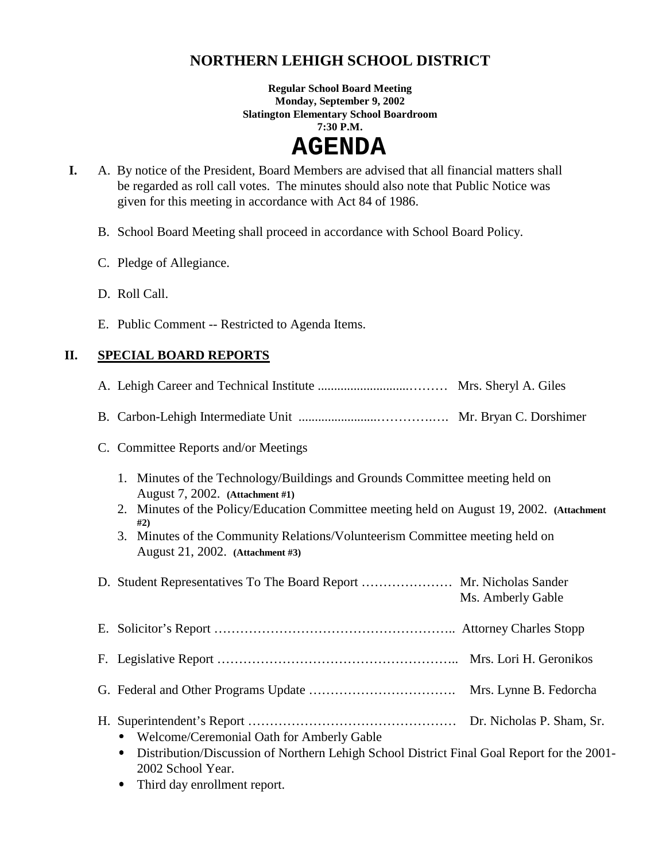## **NORTHERN LEHIGH SCHOOL DISTRICT**

**Regular School Board Meeting Monday, September 9, 2002 Slatington Elementary School Boardroom 7:30 P.M.** 

# **AGENDA**

- **I.** A. By notice of the President, Board Members are advised that all financial matters shall be regarded as roll call votes. The minutes should also note that Public Notice was given for this meeting in accordance with Act 84 of 1986.
	- B. School Board Meeting shall proceed in accordance with School Board Policy.
	- C. Pledge of Allegiance.
	- D. Roll Call.
	- E. Public Comment -- Restricted to Agenda Items.

## **II. SPECIAL BOARD REPORTS**

- A. Lehigh Career and Technical Institute ............................……… Mrs. Sheryl A. Giles
- B. Carbon-Lehigh Intermediate Unit ........................………….…. Mr. Bryan C. Dorshimer
- C. Committee Reports and/or Meetings
	- 1. Minutes of the Technology/Buildings and Grounds Committee meeting held on August 7, 2002. **(Attachment #1)**
	- 2. Minutes of the Policy/Education Committee meeting held on August 19, 2002. **(Attachment #2)**
	- 3. Minutes of the Community Relations/Volunteerism Committee meeting held on August 21, 2002. **(Attachment #3)**

| D. Student Representatives To The Board Report  Mr. Nicholas Sander                                                                                              | Ms. Amberly Gable |
|------------------------------------------------------------------------------------------------------------------------------------------------------------------|-------------------|
|                                                                                                                                                                  |                   |
|                                                                                                                                                                  |                   |
|                                                                                                                                                                  |                   |
| • Welcome/Ceremonial Oath for Amberly Gable<br>• Distribution/Discussion of Northern Lehigh School District Final Goal Report for the 2001-<br>2002 School Year. |                   |

• Third day enrollment report.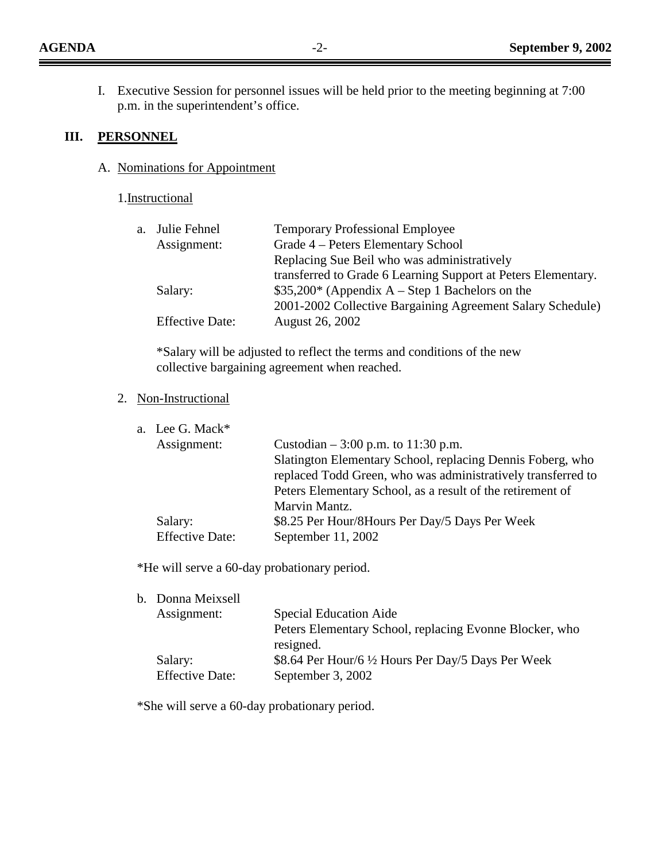I. Executive Session for personnel issues will be held prior to the meeting beginning at 7:00 p.m. in the superintendent's office.

#### **III. PERSONNEL**

## A. Nominations for Appointment

#### 1.Instructional

| a. Julie Fehnel        | <b>Temporary Professional Employee</b>                        |
|------------------------|---------------------------------------------------------------|
| Assignment:            | Grade 4 – Peters Elementary School                            |
|                        | Replacing Sue Beil who was administratively                   |
|                        | transferred to Grade 6 Learning Support at Peters Elementary. |
| Salary:                | $$35,200*$ (Appendix A – Step 1 Bachelors on the              |
|                        | 2001-2002 Collective Bargaining Agreement Salary Schedule)    |
| <b>Effective Date:</b> | August 26, 2002                                               |

\*Salary will be adjusted to reflect the terms and conditions of the new collective bargaining agreement when reached.

## 2. Non-Instructional

|                                                              | a. Lee G. Mack*        |  |
|--------------------------------------------------------------|------------------------|--|
| Custodian $-3:00$ p.m. to 11:30 p.m.                         | Assignment:            |  |
| Slatington Elementary School, replacing Dennis Foberg, who   |                        |  |
| replaced Todd Green, who was administratively transferred to |                        |  |
| Peters Elementary School, as a result of the retirement of   |                        |  |
| Marvin Mantz.                                                |                        |  |
| \$8.25 Per Hour/8Hours Per Day/5 Days Per Week               | Salary:                |  |
| September $11, 2002$                                         | <b>Effective Date:</b> |  |
|                                                              |                        |  |

\*He will serve a 60-day probationary period.

| <b>Special Education Aide</b>                           |
|---------------------------------------------------------|
| Peters Elementary School, replacing Evonne Blocker, who |
| resigned.                                               |
| \$8.64 Per Hour/6 1/2 Hours Per Day/5 Days Per Week     |
| September 3, 2002                                       |
|                                                         |

\*She will serve a 60-day probationary period.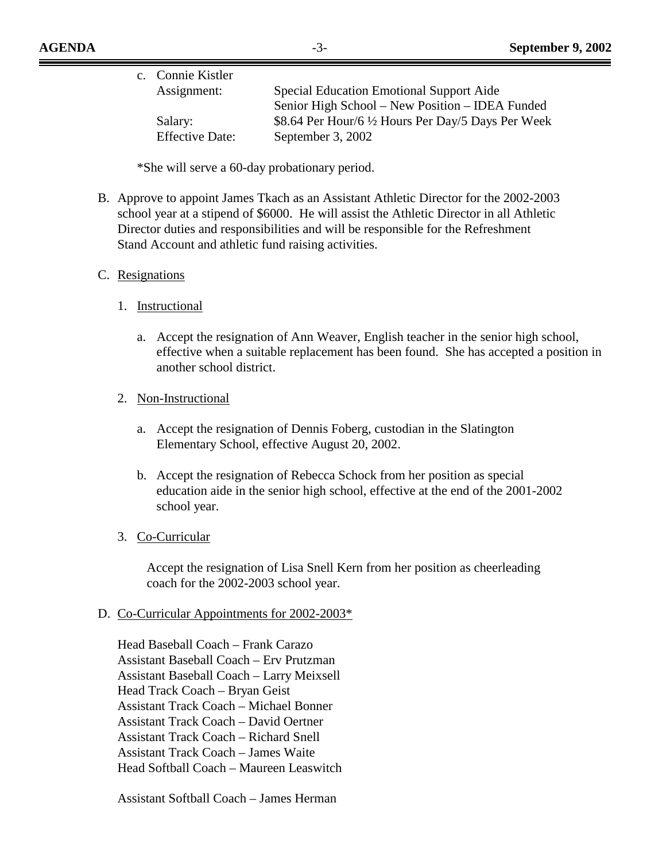| c. Connie Kistler                                              |  |
|----------------------------------------------------------------|--|
| Assignment:<br>Special Education Emotional Support Aide        |  |
| Senior High School – New Position – IDEA Funded                |  |
| \$8.64 Per Hour/6 1/2 Hours Per Day/5 Days Per Week<br>Salary: |  |
| <b>Effective Date:</b><br>September 3, 2002                    |  |

\*She will serve a 60-day probationary period.

B. Approve to appoint James Tkach as an Assistant Athletic Director for the 2002-2003 school year at a stipend of \$6000. He will assist the Athletic Director in all Athletic Director duties and responsibilities and will be responsible for the Refreshment Stand Account and athletic fund raising activities.

#### C. Resignations

- 1. Instructional
	- a. Accept the resignation of Ann Weaver, English teacher in the senior high school, effective when a suitable replacement has been found. She has accepted a position in another school district.
- 2. Non-Instructional
	- a. Accept the resignation of Dennis Foberg, custodian in the Slatington Elementary School, effective August 20, 2002.
	- b. Accept the resignation of Rebecca Schock from her position as special education aide in the senior high school, effective at the end of the 2001-2002 school year.

#### 3. Co-Curricular

Accept the resignation of Lisa Snell Kern from her position as cheerleading coach for the 2002-2003 school year.

#### D. Co-Curricular Appointments for 2002-2003\*

Head Baseball Coach – Frank Carazo Assistant Baseball Coach – Erv Prutzman Assistant Baseball Coach – Larry Meixsell Head Track Coach – Bryan Geist Assistant Track Coach – Michael Bonner Assistant Track Coach – David Oertner Assistant Track Coach – Richard Snell Assistant Track Coach – James Waite Head Softball Coach – Maureen Leaswitch

Assistant Softball Coach – James Herman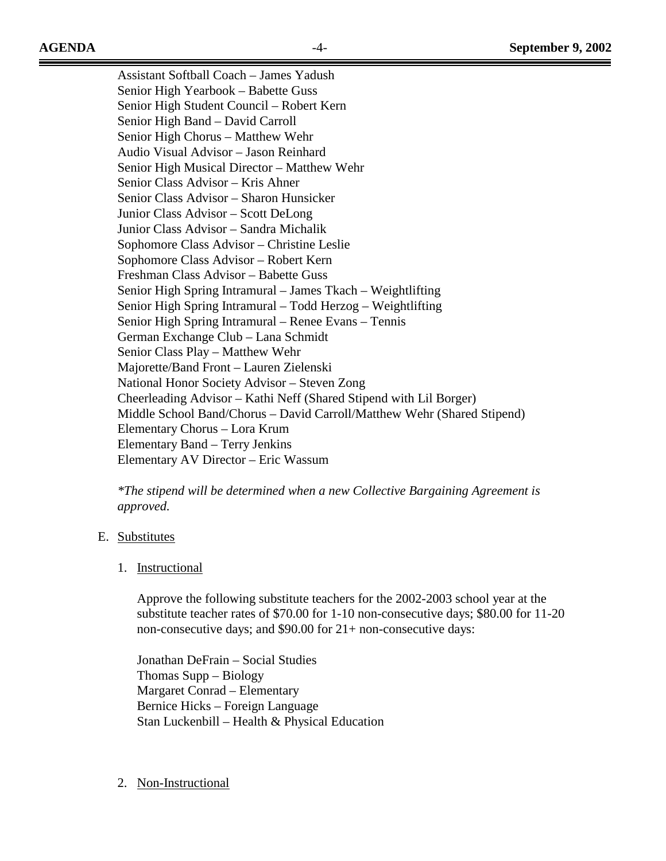Assistant Softball Coach – James Yadush Senior High Yearbook – Babette Guss Senior High Student Council – Robert Kern Senior High Band – David Carroll Senior High Chorus – Matthew Wehr Audio Visual Advisor – Jason Reinhard Senior High Musical Director – Matthew Wehr Senior Class Advisor – Kris Ahner Senior Class Advisor – Sharon Hunsicker Junior Class Advisor – Scott DeLong Junior Class Advisor – Sandra Michalik Sophomore Class Advisor – Christine Leslie Sophomore Class Advisor – Robert Kern Freshman Class Advisor – Babette Guss Senior High Spring Intramural – James Tkach – Weightlifting Senior High Spring Intramural – Todd Herzog – Weightlifting Senior High Spring Intramural – Renee Evans – Tennis German Exchange Club – Lana Schmidt Senior Class Play – Matthew Wehr Majorette/Band Front – Lauren Zielenski National Honor Society Advisor – Steven Zong Cheerleading Advisor – Kathi Neff (Shared Stipend with Lil Borger) Middle School Band/Chorus – David Carroll/Matthew Wehr (Shared Stipend) Elementary Chorus – Lora Krum Elementary Band – Terry Jenkins Elementary AV Director – Eric Wassum

*\*The stipend will be determined when a new Collective Bargaining Agreement is approved.* 

## E. Substitutes

#### 1. Instructional

Approve the following substitute teachers for the 2002-2003 school year at the substitute teacher rates of \$70.00 for 1-10 non-consecutive days; \$80.00 for 11-20 non-consecutive days; and \$90.00 for 21+ non-consecutive days:

 Jonathan DeFrain – Social Studies Thomas Supp – Biology Margaret Conrad – Elementary Bernice Hicks – Foreign Language Stan Luckenbill – Health & Physical Education

2. Non-Instructional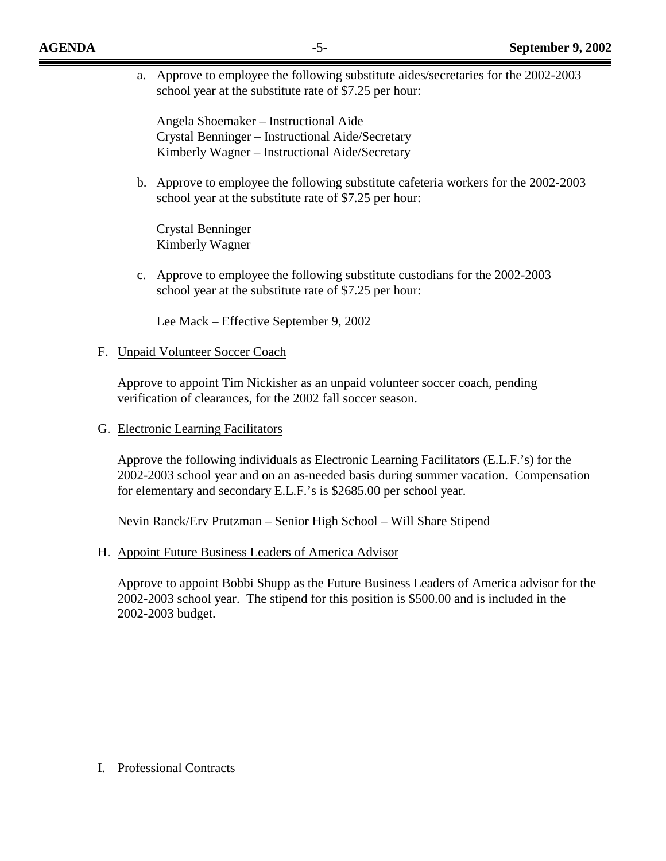a. Approve to employee the following substitute aides/secretaries for the 2002-2003 school year at the substitute rate of \$7.25 per hour:

Angela Shoemaker – Instructional Aide Crystal Benninger – Instructional Aide/Secretary Kimberly Wagner – Instructional Aide/Secretary

b. Approve to employee the following substitute cafeteria workers for the 2002-2003 school year at the substitute rate of \$7.25 per hour:

Crystal Benninger Kimberly Wagner

c. Approve to employee the following substitute custodians for the 2002-2003 school year at the substitute rate of \$7.25 per hour:

Lee Mack – Effective September 9, 2002

## F. Unpaid Volunteer Soccer Coach

Approve to appoint Tim Nickisher as an unpaid volunteer soccer coach, pending verification of clearances, for the 2002 fall soccer season.

G. Electronic Learning Facilitators

Approve the following individuals as Electronic Learning Facilitators (E.L.F.'s) for the 2002-2003 school year and on an as-needed basis during summer vacation. Compensation for elementary and secondary E.L.F.'s is \$2685.00 per school year.

Nevin Ranck/Erv Prutzman – Senior High School – Will Share Stipend

H. Appoint Future Business Leaders of America Advisor

Approve to appoint Bobbi Shupp as the Future Business Leaders of America advisor for the 2002-2003 school year. The stipend for this position is \$500.00 and is included in the 2002-2003 budget.

I. Professional Contracts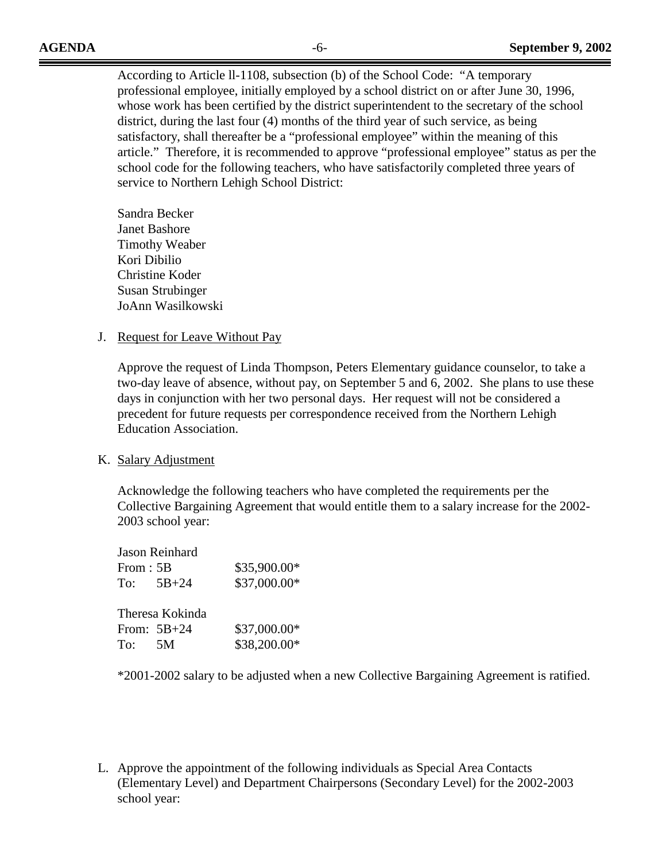According to Article ll-1108, subsection (b) of the School Code: "A temporary professional employee, initially employed by a school district on or after June 30, 1996, whose work has been certified by the district superintendent to the secretary of the school district, during the last four (4) months of the third year of such service, as being satisfactory, shall thereafter be a "professional employee" within the meaning of this article." Therefore, it is recommended to approve "professional employee" status as per the school code for the following teachers, who have satisfactorily completed three years of service to Northern Lehigh School District:

Sandra Becker Janet Bashore Timothy Weaber Kori Dibilio Christine Koder Susan Strubinger JoAnn Wasilkowski

#### J. Request for Leave Without Pay

Approve the request of Linda Thompson, Peters Elementary guidance counselor, to take a two-day leave of absence, without pay, on September 5 and 6, 2002. She plans to use these days in conjunction with her two personal days. Her request will not be considered a precedent for future requests per correspondence received from the Northern Lehigh Education Association.

#### K. Salary Adjustment

Acknowledge the following teachers who have completed the requirements per the Collective Bargaining Agreement that would entitle them to a salary increase for the 2002- 2003 school year:

|          | <b>Jason Reinhard</b>            |                              |
|----------|----------------------------------|------------------------------|
| From: 5B |                                  | \$35,900.00*                 |
|          | To: $5B+24$                      | \$37,000.00*                 |
| To: 5M   | Theresa Kokinda<br>From: $5B+24$ | \$37,000.00*<br>\$38,200.00* |

\*2001-2002 salary to be adjusted when a new Collective Bargaining Agreement is ratified.

L. Approve the appointment of the following individuals as Special Area Contacts (Elementary Level) and Department Chairpersons (Secondary Level) for the 2002-2003 school year: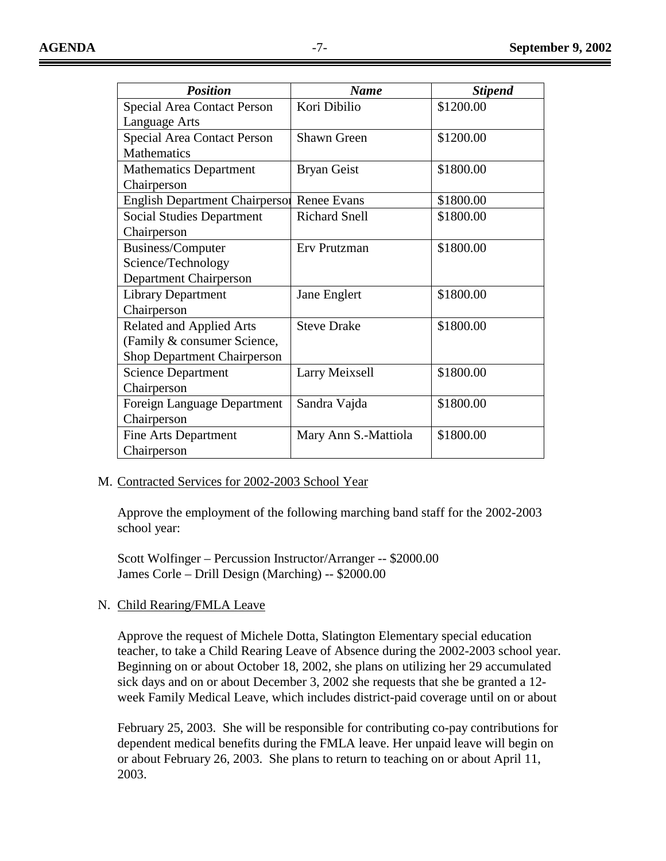| <b>Position</b>                       | <b>Name</b>          | <b>Stipend</b> |
|---------------------------------------|----------------------|----------------|
| <b>Special Area Contact Person</b>    | Kori Dibilio         | \$1200.00      |
| Language Arts                         |                      |                |
| <b>Special Area Contact Person</b>    | Shawn Green          | \$1200.00      |
| <b>Mathematics</b>                    |                      |                |
| <b>Mathematics Department</b>         | <b>Bryan Geist</b>   | \$1800.00      |
| Chairperson                           |                      |                |
| <b>English Department Chairperson</b> | <b>Renee Evans</b>   | \$1800.00      |
| <b>Social Studies Department</b>      | <b>Richard Snell</b> | \$1800.00      |
| Chairperson                           |                      |                |
| Business/Computer                     | Erv Prutzman         | \$1800.00      |
| Science/Technology                    |                      |                |
| Department Chairperson                |                      |                |
| <b>Library Department</b>             | Jane Englert         | \$1800.00      |
| Chairperson                           |                      |                |
| <b>Related and Applied Arts</b>       | <b>Steve Drake</b>   | \$1800.00      |
| (Family & consumer Science,           |                      |                |
| <b>Shop Department Chairperson</b>    |                      |                |
| <b>Science Department</b>             | Larry Meixsell       | \$1800.00      |
| Chairperson                           |                      |                |
| Foreign Language Department           | Sandra Vajda         | \$1800.00      |
| Chairperson                           |                      |                |
| Fine Arts Department                  | Mary Ann S.-Mattiola | \$1800.00      |
| Chairperson                           |                      |                |

## M. Contracted Services for 2002-2003 School Year

 Approve the employment of the following marching band staff for the 2002-2003 school year:

 Scott Wolfinger – Percussion Instructor/Arranger -- \$2000.00 James Corle – Drill Design (Marching) -- \$2000.00

## N. Child Rearing/FMLA Leave

Approve the request of Michele Dotta, Slatington Elementary special education teacher, to take a Child Rearing Leave of Absence during the 2002-2003 school year. Beginning on or about October 18, 2002, she plans on utilizing her 29 accumulated sick days and on or about December 3, 2002 she requests that she be granted a 12 week Family Medical Leave, which includes district-paid coverage until on or about

February 25, 2003. She will be responsible for contributing co-pay contributions for dependent medical benefits during the FMLA leave. Her unpaid leave will begin on or about February 26, 2003. She plans to return to teaching on or about April 11, 2003.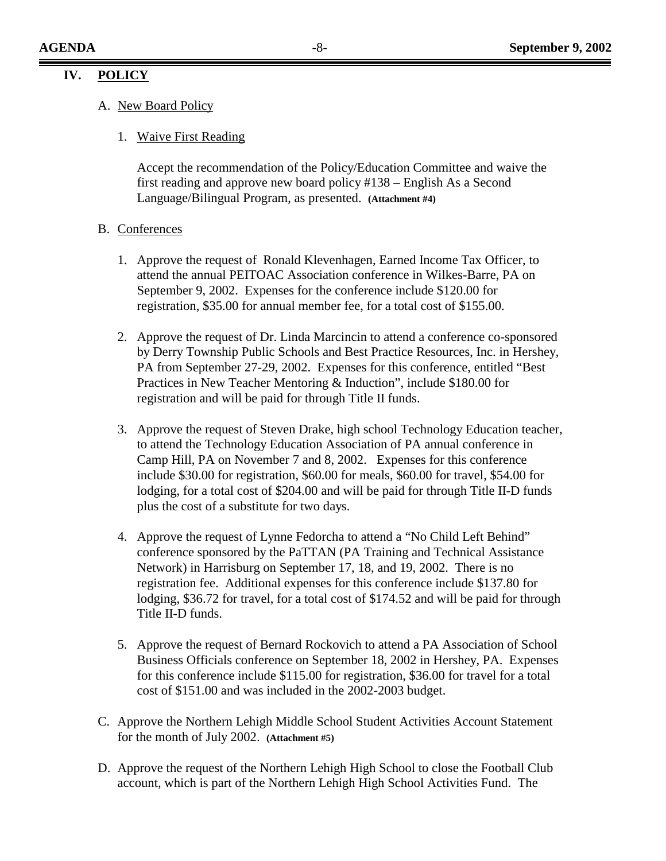## **IV. POLICY**

- A. New Board Policy
	- 1. Waive First Reading

Accept the recommendation of the Policy/Education Committee and waive the first reading and approve new board policy #138 – English As a Second Language/Bilingual Program, as presented. **(Attachment #4)**

#### B. Conferences

- 1. Approve the request of Ronald Klevenhagen, Earned Income Tax Officer, to attend the annual PEITOAC Association conference in Wilkes-Barre, PA on September 9, 2002. Expenses for the conference include \$120.00 for registration, \$35.00 for annual member fee, for a total cost of \$155.00.
- 2. Approve the request of Dr. Linda Marcincin to attend a conference co-sponsored by Derry Township Public Schools and Best Practice Resources, Inc. in Hershey, PA from September 27-29, 2002. Expenses for this conference, entitled "Best Practices in New Teacher Mentoring & Induction", include \$180.00 for registration and will be paid for through Title II funds.
- 3. Approve the request of Steven Drake, high school Technology Education teacher, to attend the Technology Education Association of PA annual conference in Camp Hill, PA on November 7 and 8, 2002. Expenses for this conference include \$30.00 for registration, \$60.00 for meals, \$60.00 for travel, \$54.00 for lodging, for a total cost of \$204.00 and will be paid for through Title II-D funds plus the cost of a substitute for two days.
- 4. Approve the request of Lynne Fedorcha to attend a "No Child Left Behind" conference sponsored by the PaTTAN (PA Training and Technical Assistance Network) in Harrisburg on September 17, 18, and 19, 2002. There is no registration fee. Additional expenses for this conference include \$137.80 for lodging, \$36.72 for travel, for a total cost of \$174.52 and will be paid for through Title II-D funds.
- 5. Approve the request of Bernard Rockovich to attend a PA Association of School Business Officials conference on September 18, 2002 in Hershey, PA. Expenses for this conference include \$115.00 for registration, \$36.00 for travel for a total cost of \$151.00 and was included in the 2002-2003 budget.
- C. Approve the Northern Lehigh Middle School Student Activities Account Statement for the month of July 2002. **(Attachment #5)**
- D. Approve the request of the Northern Lehigh High School to close the Football Club account, which is part of the Northern Lehigh High School Activities Fund. The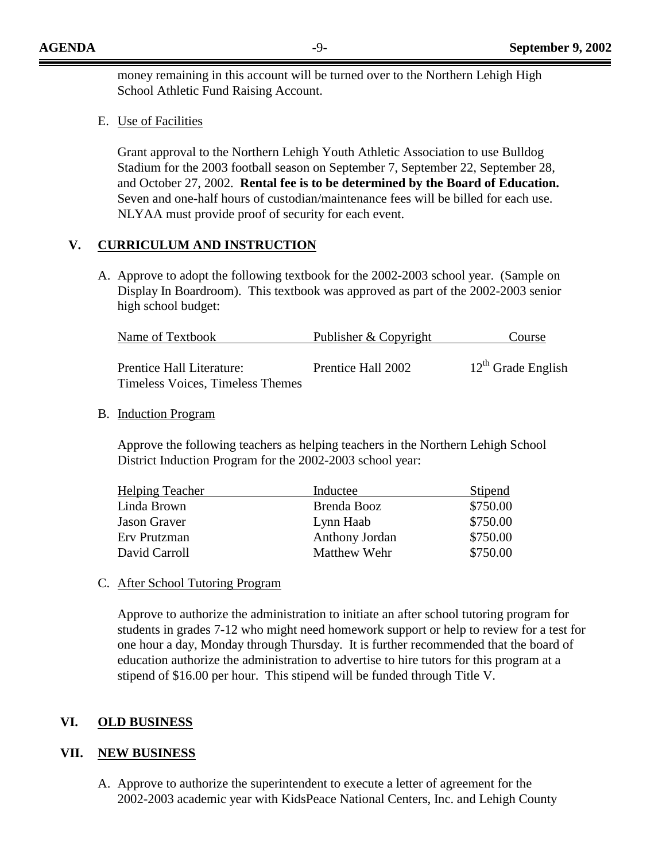money remaining in this account will be turned over to the Northern Lehigh High School Athletic Fund Raising Account.

E. Use of Facilities

Grant approval to the Northern Lehigh Youth Athletic Association to use Bulldog Stadium for the 2003 football season on September 7, September 22, September 28, and October 27, 2002. **Rental fee is to be determined by the Board of Education.**  Seven and one-half hours of custodian/maintenance fees will be billed for each use. NLYAA must provide proof of security for each event.

## **V. CURRICULUM AND INSTRUCTION**

A. Approve to adopt the following textbook for the 2002-2003 school year. (Sample on Display In Boardroom). This textbook was approved as part of the 2002-2003 senior high school budget:

| Name of Textbook                        | Publisher & Copyright | Course                  |
|-----------------------------------------|-----------------------|-------------------------|
| Prentice Hall Literature:               | Prentice Hall 2002    | $12^{th}$ Grade English |
| <b>Timeless Voices, Timeless Themes</b> |                       |                         |

#### B. Induction Program

Approve the following teachers as helping teachers in the Northern Lehigh School District Induction Program for the 2002-2003 school year:

| <b>Helping Teacher</b> | Inductee       | Stipend  |
|------------------------|----------------|----------|
| Linda Brown            | Brenda Booz    | \$750.00 |
| <b>Jason Graver</b>    | Lynn Haab      | \$750.00 |
| Erv Prutzman           | Anthony Jordan | \$750.00 |
| David Carroll          | Matthew Wehr   | \$750.00 |

## C. After School Tutoring Program

Approve to authorize the administration to initiate an after school tutoring program for students in grades 7-12 who might need homework support or help to review for a test for one hour a day, Monday through Thursday. It is further recommended that the board of education authorize the administration to advertise to hire tutors for this program at a stipend of \$16.00 per hour. This stipend will be funded through Title V.

## **VI. OLD BUSINESS**

## **VII. NEW BUSINESS**

A. Approve to authorize the superintendent to execute a letter of agreement for the 2002-2003 academic year with KidsPeace National Centers, Inc. and Lehigh County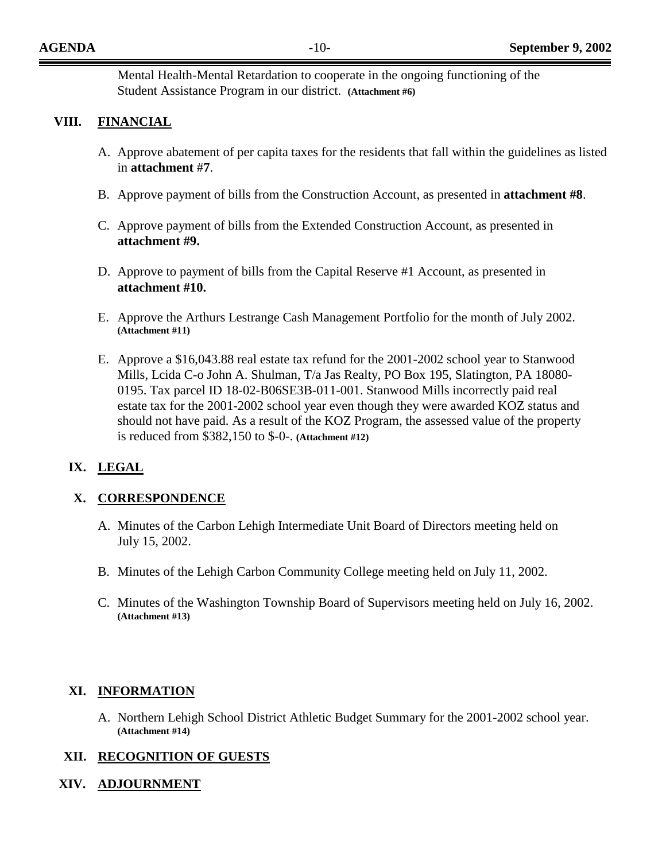Mental Health-Mental Retardation to cooperate in the ongoing functioning of the Student Assistance Program in our district. **(Attachment #6)**

## **VIII. FINANCIAL**

- A. Approve abatement of per capita taxes for the residents that fall within the guidelines as listed in **attachment** #**7**.
- B. Approve payment of bills from the Construction Account, as presented in **attachment #8**.
- C. Approve payment of bills from the Extended Construction Account, as presented in **attachment #9.**
- D. Approve to payment of bills from the Capital Reserve #1 Account, as presented in **attachment #10.**
- E. Approve the Arthurs Lestrange Cash Management Portfolio for the month of July 2002. **(Attachment #11)**
- E. Approve a \$16,043.88 real estate tax refund for the 2001-2002 school year to Stanwood Mills, Lcida C-o John A. Shulman, T/a Jas Realty, PO Box 195, Slatington, PA 18080- 0195. Tax parcel ID 18-02-B06SE3B-011-001. Stanwood Mills incorrectly paid real estate tax for the 2001-2002 school year even though they were awarded KOZ status and should not have paid. As a result of the KOZ Program, the assessed value of the property is reduced from \$382,150 to \$-0-. **(Attachment #12)**

## **IX. LEGAL**

## **X. CORRESPONDENCE**

- A. Minutes of the Carbon Lehigh Intermediate Unit Board of Directors meeting held on July 15, 2002.
- B. Minutes of the Lehigh Carbon Community College meeting held on July 11, 2002.
- C. Minutes of the Washington Township Board of Supervisors meeting held on July 16, 2002. **(Attachment #13)**

## **XI. INFORMATION**

A. Northern Lehigh School District Athletic Budget Summary for the 2001-2002 school year. **(Attachment #14)** 

## **XII. RECOGNITION OF GUESTS**

## **XIV. ADJOURNMENT**